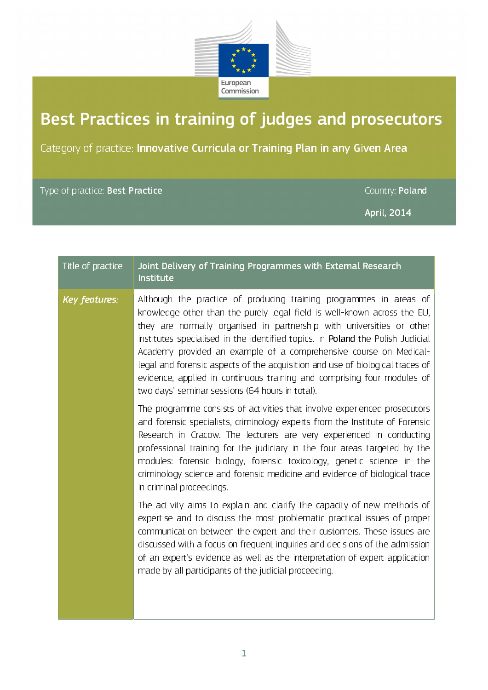

## Best Practices in training of judges and prosecutors

Category of practice: Innovative Curricula or Training Plan in any Given Area

## Type of practice: Best Practice Country: Poland

April, 2014

| Title of practice    | Joint Delivery of Training Programmes with External Research<br>Institute                                                                                                                                                                                                                                                                                                                                                                                                                                                                                                                     |
|----------------------|-----------------------------------------------------------------------------------------------------------------------------------------------------------------------------------------------------------------------------------------------------------------------------------------------------------------------------------------------------------------------------------------------------------------------------------------------------------------------------------------------------------------------------------------------------------------------------------------------|
| <b>Key features:</b> | Although the practice of producing training programmes in areas of<br>knowledge other than the purely legal field is well-known across the EU,<br>they are normally organised in partnership with universities or other<br>institutes specialised in the identified topics. In Poland the Polish Judicial<br>Academy provided an example of a comprehensive course on Medical-<br>legal and forensic aspects of the acquisition and use of biological traces of<br>evidence, applied in continuous training and comprising four modules of<br>two days' seminar sessions (64 hours in total). |
|                      | The programme consists of activities that involve experienced prosecutors<br>and forensic specialists, criminology experts from the Institute of Forensic<br>Research in Cracow. The lecturers are very experienced in conducting<br>professional training for the judiciary in the four areas targeted by the<br>modules: forensic biology, forensic toxicology, genetic science in the<br>criminology science and forensic medicine and evidence of biological trace<br>in criminal proceedings.                                                                                            |
|                      | The activity aims to explain and clarify the capacity of new methods of<br>expertise and to discuss the most problematic practical issues of proper<br>communication between the expert and their customers. These issues are<br>discussed with a focus on frequent inquiries and decisions of the admission<br>of an expert's evidence as well as the interpretation of expert application<br>made by all participants of the judicial proceeding.                                                                                                                                           |